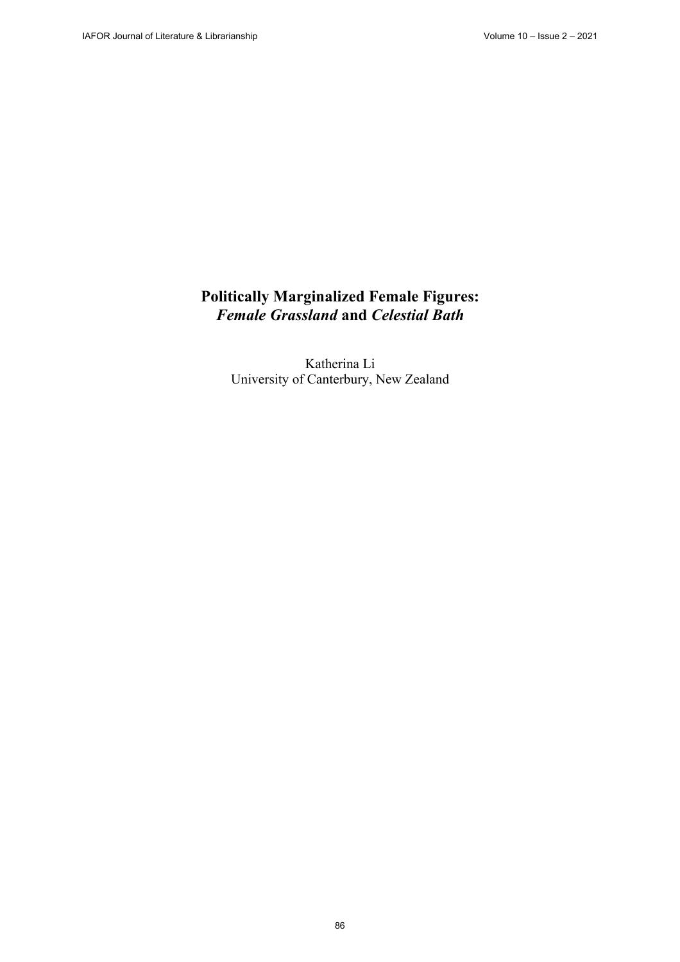# **Politically Marginalized Female Figures:** *Female Grassland* **and** *Celestial Bath*

Katherina Li University of Canterbury, New Zealand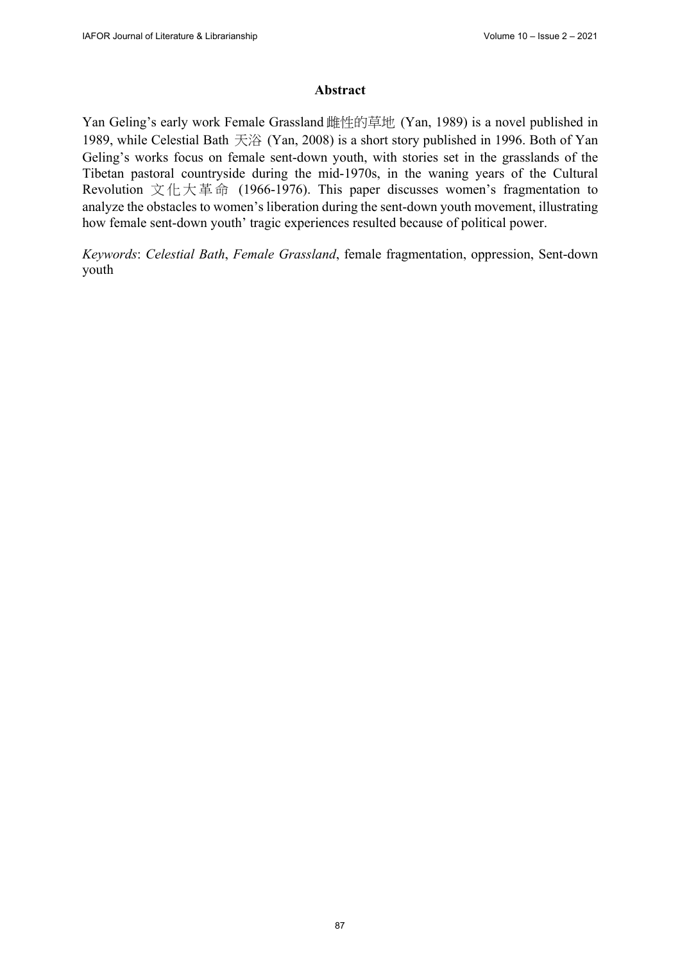## **Abstract**

Yan Geling's early work Female Grassland 雌性的草地 (Yan, 1989) is a novel published in 1989, while Celestial Bath 天浴 (Yan, 2008) is a short story published in 1996. Both of Yan Geling's works focus on female sent-down youth, with stories set in the grasslands of the Tibetan pastoral countryside during the mid-1970s, in the waning years of the Cultural Revolution 文化大革命 (1966-1976). This paper discusses women's fragmentation to analyze the obstacles to women's liberation during the sent-down youth movement, illustrating how female sent-down youth' tragic experiences resulted because of political power.

*Keywords*: *Celestial Bath*, *Female Grassland*, female fragmentation, oppression, Sent-down youth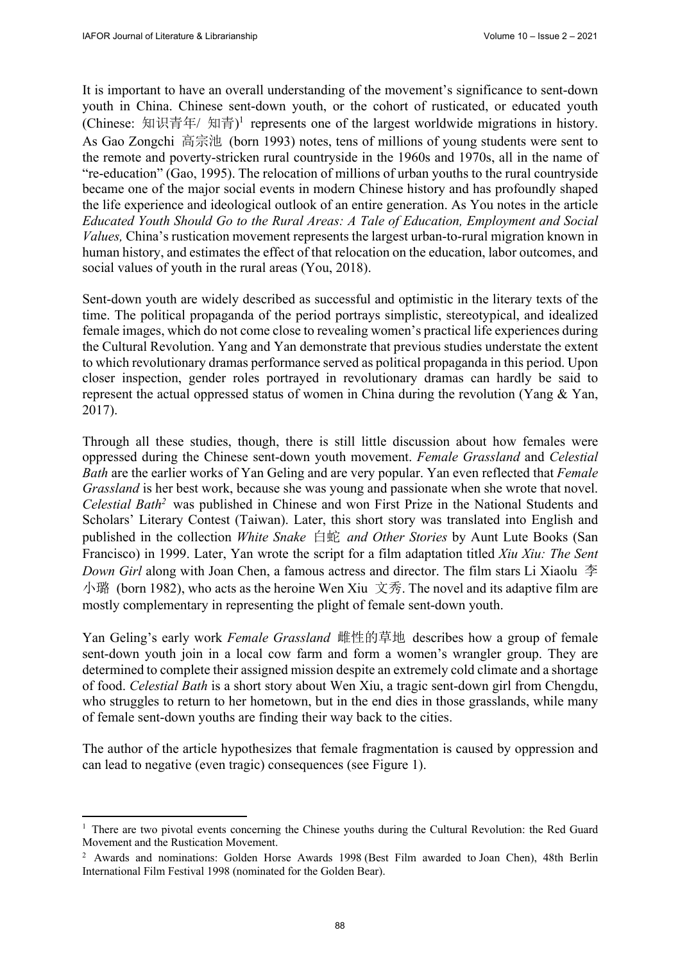It is important to have an overall understanding of the movement's significance to sent-down youth in China. Chinese sent-down youth, or the cohort of rusticated, or educated youth (Chinese: 知识青年/ 知青) 1 represents one of the largest worldwide migrations in history. As Gao Zongchi 高宗池 (born 1993) notes, tens of millions of young students were sent to the remote and poverty-stricken rural countryside in the 1960s and 1970s, all in the name of "re-education" (Gao, 1995). The relocation of millions of urban youths to the rural countryside became one of the major social events in modern Chinese history and has profoundly shaped the life experience and ideological outlook of an entire generation. As You notes in the article *Educated Youth Should Go to the Rural Areas: A Tale of Education, Employment and Social Values,* China's rustication movement represents the largest urban-to-rural migration known in human history, and estimates the effect of that relocation on the education, labor outcomes, and social values of youth in the rural areas (You, 2018).

Sent-down youth are widely described as successful and optimistic in the literary texts of the time. The political propaganda of the period portrays simplistic, stereotypical, and idealized female images, which do not come close to revealing women's practical life experiences during the Cultural Revolution. Yang and Yan demonstrate that previous studies understate the extent to which revolutionary dramas performance served as political propaganda in this period. Upon closer inspection, gender roles portrayed in revolutionary dramas can hardly be said to represent the actual oppressed status of women in China during the revolution (Yang & Yan, 2017).

Through all these studies, though, there is still little discussion about how females were oppressed during the Chinese sent-down youth movement. *Female Grassland* and *Celestial Bath* are the earlier works of Yan Geling and are very popular. Yan even reflected that *Female Grassland* is her best work, because she was young and passionate when she wrote that novel. *Celestial Bath2* was published in Chinese and won First Prize in the National Students and Scholars' Literary Contest (Taiwan). Later, this short story was translated into English and published in the collection *White Snake* 白蛇 and Other Stories by Aunt Lute Books (San Francisco) in 1999. Later, Yan wrote the script for a film adaptation titled *Xiu Xiu: The Sent Down Girl* along with Joan Chen, a famous actress and director. The film stars Li Xiaolu 李 小璐 (born 1982), who acts as the heroine Wen Xiu 文秀. The novel and its adaptive film are mostly complementary in representing the plight of female sent-down youth.

Yan Geling's early work *Female Grassland* 雌性的草地 describes how a group of female sent-down youth join in a local cow farm and form a women's wrangler group. They are determined to complete their assigned mission despite an extremely cold climate and a shortage of food. *Celestial Bath* is a short story about Wen Xiu, a tragic sent-down girl from Chengdu, who struggles to return to her hometown, but in the end dies in those grasslands, while many of female sent-down youths are finding their way back to the cities.

The author of the article hypothesizes that female fragmentation is caused by oppression and can lead to negative (even tragic) consequences (see Figure 1).

<sup>&</sup>lt;sup>1</sup> There are two pivotal events concerning the Chinese youths during the Cultural Revolution: the Red Guard Movement and the Rustication Movement.

<sup>2</sup> Awards and nominations: Golden Horse Awards 1998 (Best Film awarded to Joan Chen), 48th Berlin International Film Festival 1998 (nominated for the Golden Bear).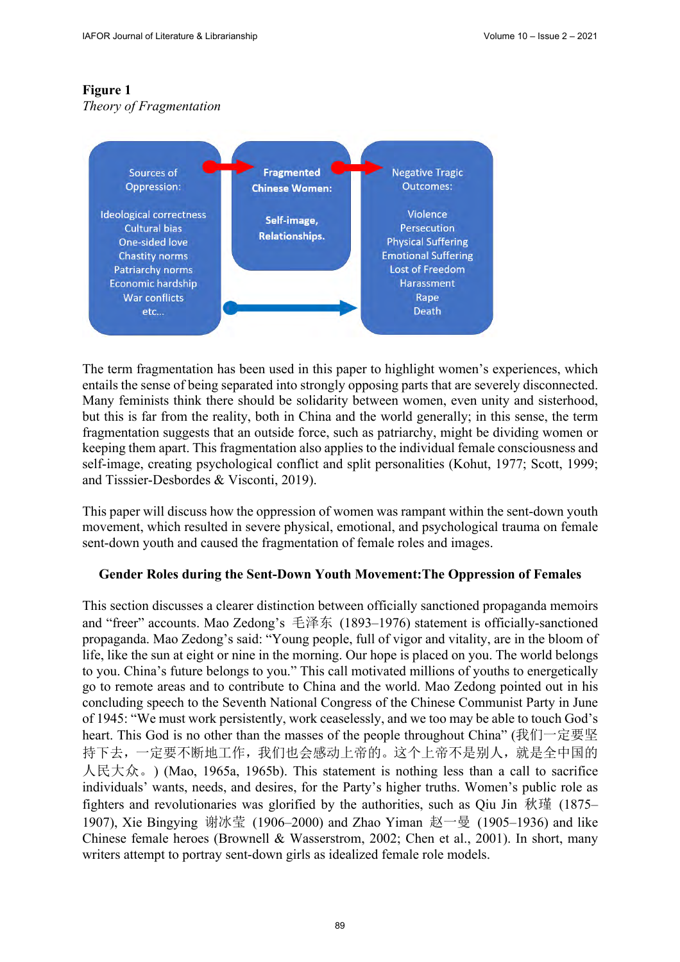## **Figure 1**

## *Theory of Fragmentation*



The term fragmentation has been used in this paper to highlight women's experiences, which entails the sense of being separated into strongly opposing parts that are severely disconnected. Many feminists think there should be solidarity between women, even unity and sisterhood, but this is far from the reality, both in China and the world generally; in this sense, the term fragmentation suggests that an outside force, such as patriarchy, might be dividing women or keeping them apart. This fragmentation also applies to the individual female consciousness and self-image, creating psychological conflict and split personalities (Kohut, 1977; Scott, 1999; and Tisssier-Desbordes & Visconti, 2019).

This paper will discuss how the oppression of women was rampant within the sent-down youth movement, which resulted in severe physical, emotional, and psychological trauma on female sent-down youth and caused the fragmentation of female roles and images.

## **Gender Roles during the Sent-Down Youth Movement:The Oppression of Females**

This section discusses a clearer distinction between officially sanctioned propaganda memoirs and "freer" accounts. Mao Zedong's 毛泽东 (1893–1976) statement is officially-sanctioned propaganda. Mao Zedong's said: "Young people, full of vigor and vitality, are in the bloom of life, like the sun at eight or nine in the morning. Our hope is placed on you. The world belongs to you. China's future belongs to you." This call motivated millions of youths to energetically go to remote areas and to contribute to China and the world. Mao Zedong pointed out in his concluding speech to the Seventh National Congress of the Chinese Communist Party in June of 1945: "We must work persistently, work ceaselessly, and we too may be able to touch God's heart. This God is no other than the masses of the people throughout China" (我们一定要坚 持下去,一定要不断地工作,我们也会感动上帝的。这个上帝不是别人,就是全中国的 人民大众。) (Mao, 1965a, 1965b). This statement is nothing less than a call to sacrifice individuals' wants, needs, and desires, for the Party's higher truths. Women's public role as fighters and revolutionaries was glorified by the authorities, such as Qiu Jin 秋瑾 (1875– 1907), Xie Bingying 谢冰莹 (1906–2000) and Zhao Yiman 赵一曼 (1905–1936) and like Chinese female heroes (Brownell & Wasserstrom, 2002; Chen et al., 2001). In short, many writers attempt to portray sent-down girls as idealized female role models.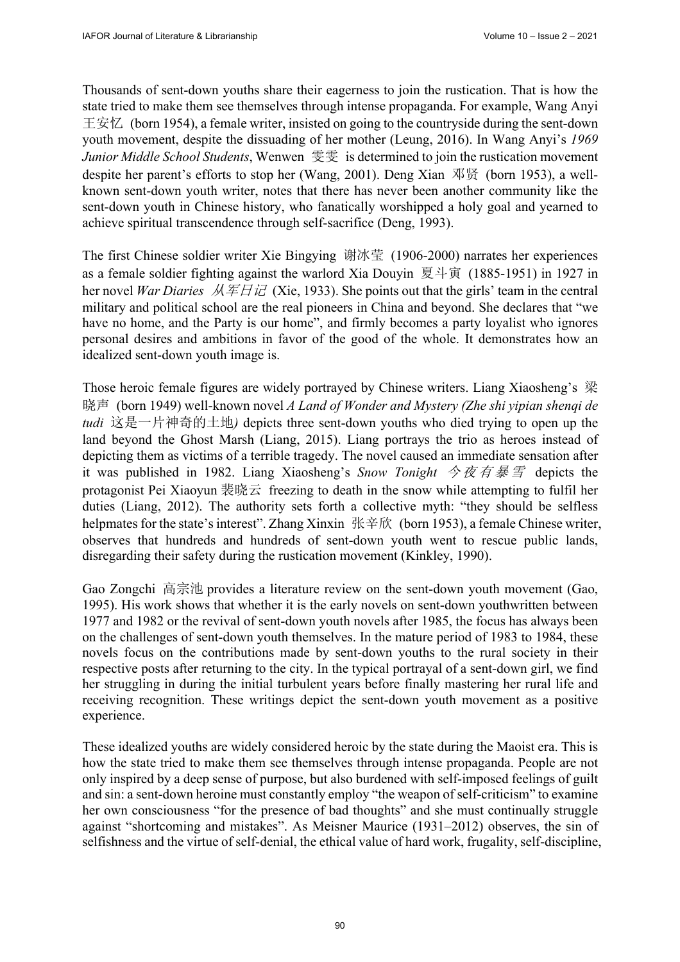Thousands of sent-down youths share their eagerness to join the rustication. That is how the state tried to make them see themselves through intense propaganda. For example, Wang Anyi 王安忆 (born 1954), a female writer, insisted on going to the countryside during the sent-down youth movement, despite the dissuading of her mother (Leung, 2016). In Wang Anyi's *1969 Junior Middle School Students*, Wenwen 雯雯 is determined to join the rustication movement despite her parent's efforts to stop her (Wang, 2001). Deng Xian 邓贤 (born 1953), a wellknown sent-down youth writer, notes that there has never been another community like the sent-down youth in Chinese history, who fanatically worshipped a holy goal and yearned to achieve spiritual transcendence through self-sacrifice (Deng, 1993).

The first Chinese soldier writer Xie Bingying 谢冰莹 (1906-2000) narrates her experiences as a female soldier fighting against the warlord Xia Douyin 夏斗寅 (1885-1951) in 1927 in her novel *War Diaries* 从军日记 (Xie, 1933). She points out that the girls' team in the central military and political school are the real pioneers in China and beyond. She declares that "we have no home, and the Party is our home", and firmly becomes a party loyalist who ignores personal desires and ambitions in favor of the good of the whole. It demonstrates how an idealized sent-down youth image is.

Those heroic female figures are widely portrayed by Chinese writers. Liang Xiaosheng's 梁 晓声 (born 1949) well-known novel *A Land of Wonder and Mystery (Zhe shi yipian shenqi de tudi* 这是一片神奇的土地*)* depicts three sent-down youths who died trying to open up the land beyond the Ghost Marsh (Liang, 2015). Liang portrays the trio as heroes instead of depicting them as victims of a terrible tragedy. The novel caused an immediate sensation after it was published in 1982. Liang Xiaosheng's *Snow Tonight* 今夜有暴雪 depicts the protagonist Pei Xiaoyun 裴晓云 freezing to death in the snow while attempting to fulfil her duties (Liang, 2012). The authority sets forth a collective myth: "they should be selfless helpmates for the state's interest". Zhang Xinxin 张辛欣 (born 1953), a female Chinese writer, observes that hundreds and hundreds of sent-down youth went to rescue public lands, disregarding their safety during the rustication movement (Kinkley, 1990).

Gao Zongchi 高宗池 provides a literature review on the sent-down youth movement (Gao, 1995). His work shows that whether it is the early novels on sent-down youthwritten between 1977 and 1982 or the revival of sent-down youth novels after 1985, the focus has always been on the challenges of sent-down youth themselves. In the mature period of 1983 to 1984, these novels focus on the contributions made by sent-down youths to the rural society in their respective posts after returning to the city. In the typical portrayal of a sent-down girl, we find her struggling in during the initial turbulent years before finally mastering her rural life and receiving recognition. These writings depict the sent-down youth movement as a positive experience.

These idealized youths are widely considered heroic by the state during the Maoist era. This is how the state tried to make them see themselves through intense propaganda. People are not only inspired by a deep sense of purpose, but also burdened with self-imposed feelings of guilt and sin: a sent-down heroine must constantly employ "the weapon of self-criticism" to examine her own consciousness "for the presence of bad thoughts" and she must continually struggle against "shortcoming and mistakes". As Meisner Maurice (1931–2012) observes, the sin of selfishness and the virtue of self-denial, the ethical value of hard work, frugality, self-discipline,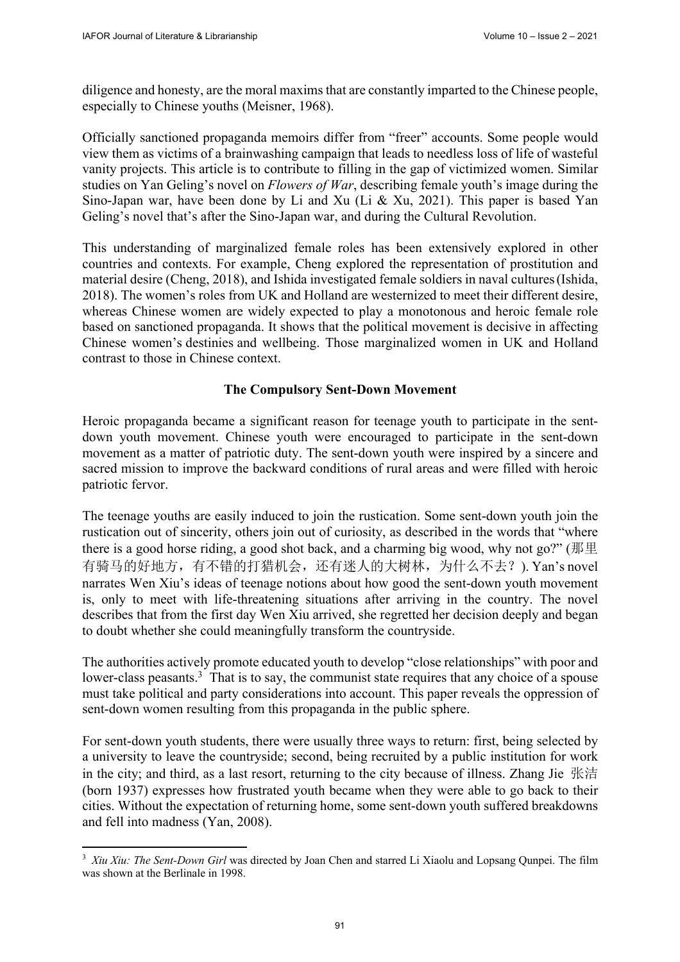diligence and honesty, are the moral maxims that are constantly imparted to the Chinese people, especially to Chinese youths (Meisner, 1968).

Officially sanctioned propaganda memoirs differ from "freer" accounts. Some people would view them as victims of a brainwashing campaign that leads to needless loss of life of wasteful vanity projects. This article is to contribute to filling in the gap of victimized women. Similar studies on Yan Geling's novel on *Flowers of War*, describing female youth's image during the Sino-Japan war, have been done by Li and Xu (Li & Xu, 2021). This paper is based Yan Geling's novel that's after the Sino-Japan war, and during the Cultural Revolution.

This understanding of marginalized female roles has been extensively explored in other countries and contexts. For example, Cheng explored the representation of prostitution and material desire (Cheng, 2018), and Ishida investigated female soldiers in naval cultures(Ishida, 2018). The women's roles from UK and Holland are westernized to meet their different desire, whereas Chinese women are widely expected to play a monotonous and heroic female role based on sanctioned propaganda. It shows that the political movement is decisive in affecting Chinese women's destinies and wellbeing. Those marginalized women in UK and Holland contrast to those in Chinese context.

## **The Compulsory Sent-Down Movement**

Heroic propaganda became a significant reason for teenage youth to participate in the sentdown youth movement. Chinese youth were encouraged to participate in the sent-down movement as a matter of patriotic duty. The sent-down youth were inspired by a sincere and sacred mission to improve the backward conditions of rural areas and were filled with heroic patriotic fervor.

The teenage youths are easily induced to join the rustication. Some sent-down youth join the rustication out of sincerity, others join out of curiosity, as described in the words that "where there is a good horse riding, a good shot back, and a charming big wood, why not go?" ( $\# \not\equiv$ 有骑马的好地方,有不错的打猎机会,还有迷人的大树林,为什么不去?). Yan's novel narrates Wen Xiu's ideas of teenage notions about how good the sent-down youth movement is, only to meet with life-threatening situations after arriving in the country. The novel describes that from the first day Wen Xiu arrived, she regretted her decision deeply and began to doubt whether she could meaningfully transform the countryside.

The authorities actively promote educated youth to develop "close relationships" with poor and lower-class peasants.<sup>3</sup> That is to say, the communist state requires that any choice of a spouse must take political and party considerations into account. This paper reveals the oppression of sent-down women resulting from this propaganda in the public sphere.

For sent-down youth students, there were usually three ways to return: first, being selected by a university to leave the countryside; second, being recruited by a public institution for work in the city; and third, as a last resort, returning to the city because of illness. Zhang Jie 张洁 (born 1937) expresses how frustrated youth became when they were able to go back to their cities. Without the expectation of returning home, some sent-down youth suffered breakdowns and fell into madness (Yan, 2008).

<sup>&</sup>lt;sup>3</sup> Xiu Xiu: The Sent-Down Girl was directed by Joan Chen and starred Li Xiaolu and Lopsang Qunpei. The film was shown at the Berlinale in 1998.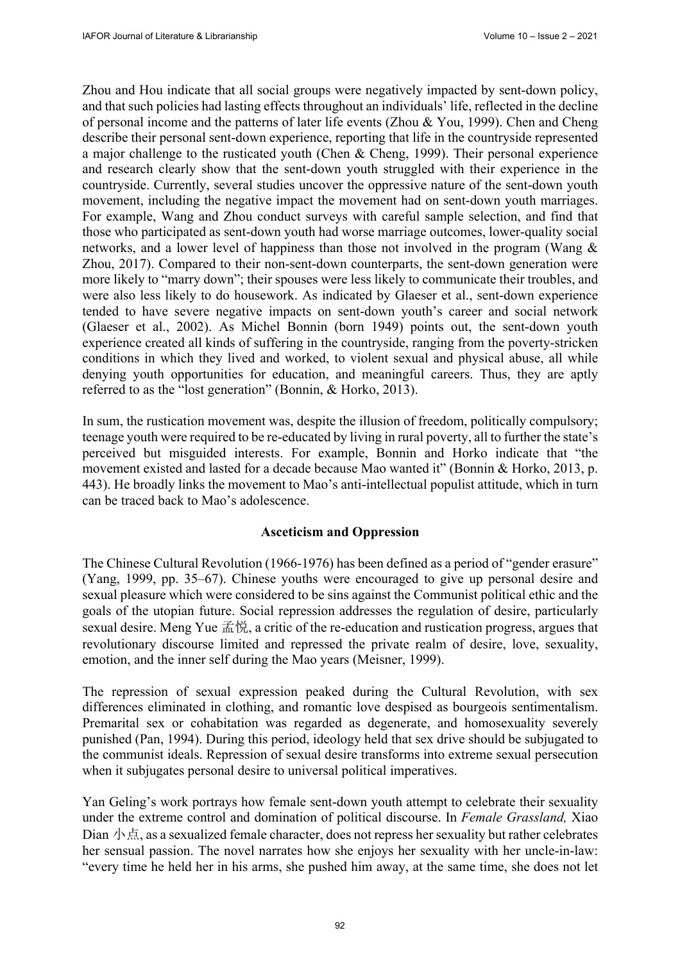Zhou and Hou indicate that all social groups were negatively impacted by sent-down policy, and that such policies had lasting effects throughout an individuals' life, reflected in the decline of personal income and the patterns of later life events (Zhou & You, 1999). Chen and Cheng describe their personal sent-down experience, reporting that life in the countryside represented a major challenge to the rusticated youth (Chen & Cheng, 1999). Their personal experience and research clearly show that the sent-down youth struggled with their experience in the countryside. Currently, several studies uncover the oppressive nature of the sent-down youth movement, including the negative impact the movement had on sent-down youth marriages. For example, Wang and Zhou conduct surveys with careful sample selection, and find that those who participated as sent-down youth had worse marriage outcomes, lower-quality social networks, and a lower level of happiness than those not involved in the program (Wang & Zhou, 2017). Compared to their non-sent-down counterparts, the sent-down generation were more likely to "marry down"; their spouses were less likely to communicate their troubles, and were also less likely to do housework. As indicated by Glaeser et al., sent-down experience tended to have severe negative impacts on sent-down youth's career and social network (Glaeser et al., 2002). As Michel Bonnin (born 1949) points out, the sent-down youth experience created all kinds of suffering in the countryside, ranging from the poverty-stricken conditions in which they lived and worked, to violent sexual and physical abuse, all while denying youth opportunities for education, and meaningful careers. Thus, they are aptly referred to as the "lost generation" (Bonnin, & Horko, 2013).

In sum, the rustication movement was, despite the illusion of freedom, politically compulsory; teenage youth were required to be re-educated by living in rural poverty, all to further the state's perceived but misguided interests. For example, Bonnin and Horko indicate that "the movement existed and lasted for a decade because Mao wanted it" (Bonnin & Horko, 2013, p. 443). He broadly links the movement to Mao's anti-intellectual populist attitude, which in turn can be traced back to Mao's adolescence.

#### **Asceticism and Oppression**

The Chinese Cultural Revolution (1966-1976) has been defined as a period of "gender erasure" (Yang, 1999, pp. 35–67). Chinese youths were encouraged to give up personal desire and sexual pleasure which were considered to be sins against the Communist political ethic and the goals of the utopian future. Social repression addresses the regulation of desire, particularly sexual desire. Meng Yue  $\vec{\mathbb{H}}$ , a critic of the re-education and rustication progress, argues that revolutionary discourse limited and repressed the private realm of desire, love, sexuality, emotion, and the inner self during the Mao years (Meisner, 1999).

The repression of sexual expression peaked during the Cultural Revolution, with sex differences eliminated in clothing, and romantic love despised as bourgeois sentimentalism. Premarital sex or cohabitation was regarded as degenerate, and homosexuality severely punished (Pan, 1994). During this period, ideology held that sex drive should be subjugated to the communist ideals. Repression of sexual desire transforms into extreme sexual persecution when it subjugates personal desire to universal political imperatives.

Yan Geling's work portrays how female sent-down youth attempt to celebrate their sexuality under the extreme control and domination of political discourse. In *Female Grassland,* Xiao Dian  $\sqrt{\frac{1}{10}}$ , as a sexualized female character, does not repress her sexuality but rather celebrates her sensual passion. The novel narrates how she enjoys her sexuality with her uncle-in-law: "every time he held her in his arms, she pushed him away, at the same time, she does not let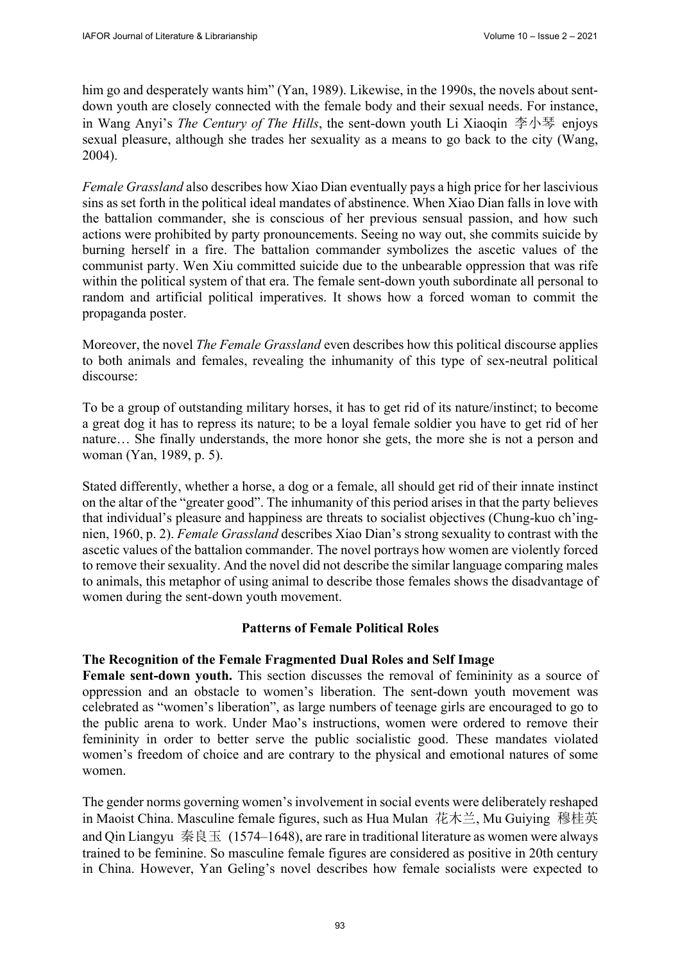him go and desperately wants him" (Yan, 1989). Likewise, in the 1990s, the novels about sentdown youth are closely connected with the female body and their sexual needs. For instance, in Wang Anyi's *The Century of The Hills*, the sent-down youth Li Xiaoqin 李小琴 enjoys sexual pleasure, although she trades her sexuality as a means to go back to the city (Wang, 2004).

*Female Grassland* also describes how Xiao Dian eventually pays a high price for her lascivious sins as set forth in the political ideal mandates of abstinence. When Xiao Dian falls in love with the battalion commander, she is conscious of her previous sensual passion, and how such actions were prohibited by party pronouncements. Seeing no way out, she commits suicide by burning herself in a fire. The battalion commander symbolizes the ascetic values of the communist party. Wen Xiu committed suicide due to the unbearable oppression that was rife within the political system of that era. The female sent-down youth subordinate all personal to random and artificial political imperatives. It shows how a forced woman to commit the propaganda poster.

Moreover, the novel *The Female Grassland* even describes how this political discourse applies to both animals and females, revealing the inhumanity of this type of sex-neutral political discourse:

To be a group of outstanding military horses, it has to get rid of its nature/instinct; to become a great dog it has to repress its nature; to be a loyal female soldier you have to get rid of her nature… She finally understands, the more honor she gets, the more she is not a person and woman (Yan, 1989, p. 5).

Stated differently, whether a horse, a dog or a female, all should get rid of their innate instinct on the altar of the "greater good". The inhumanity of this period arises in that the party believes that individual's pleasure and happiness are threats to socialist objectives (Chung-kuo ch'ingnien, 1960, p. 2). *Female Grassland* describes Xiao Dian's strong sexuality to contrast with the ascetic values of the battalion commander. The novel portrays how women are violently forced to remove their sexuality. And the novel did not describe the similar language comparing males to animals, this metaphor of using animal to describe those females shows the disadvantage of women during the sent-down youth movement.

## **Patterns of Female Political Roles**

## **The Recognition of the Female Fragmented Dual Roles and Self Image**

**Female sent-down youth.** This section discusses the removal of femininity as a source of oppression and an obstacle to women's liberation. The sent-down youth movement was celebrated as "women's liberation", as large numbers of teenage girls are encouraged to go to the public arena to work. Under Mao's instructions, women were ordered to remove their femininity in order to better serve the public socialistic good. These mandates violated women's freedom of choice and are contrary to the physical and emotional natures of some women.

The gender norms governing women's involvement in social events were deliberately reshaped in Maoist China. Masculine female figures, such as Hua Mulan 花木兰, Mu Guiying 穆桂英 and Oin Liangyu 秦良玉 (1574–1648), are rare in traditional literature as women were always trained to be feminine. So masculine female figures are considered as positive in 20th century in China. However, Yan Geling's novel describes how female socialists were expected to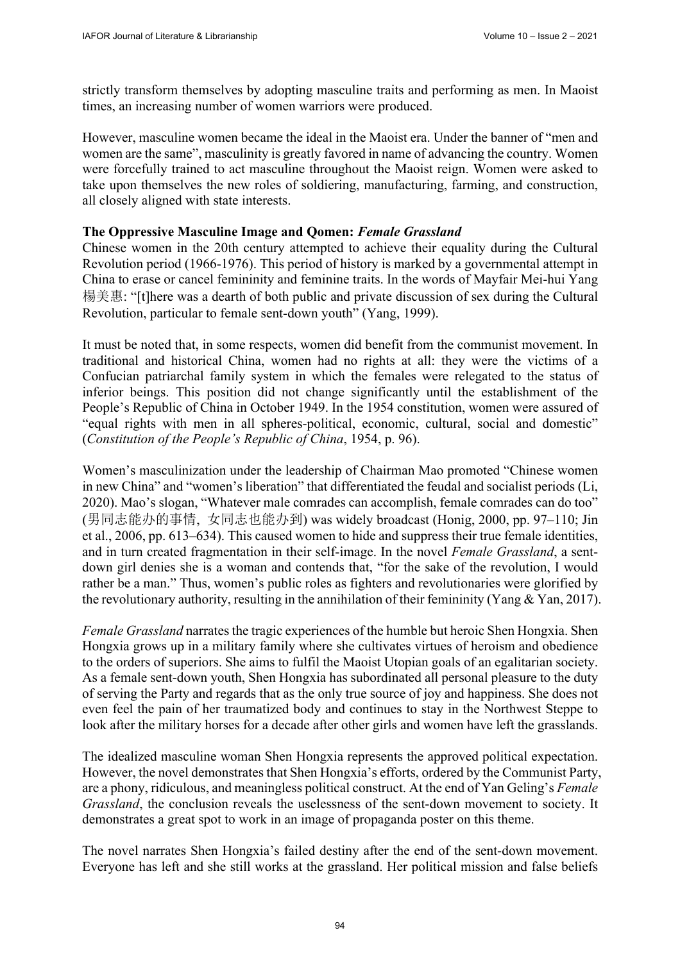strictly transform themselves by adopting masculine traits and performing as men. In Maoist times, an increasing number of women warriors were produced.

However, masculine women became the ideal in the Maoist era. Under the banner of "men and women are the same", masculinity is greatly favored in name of advancing the country. Women were forcefully trained to act masculine throughout the Maoist reign. Women were asked to take upon themselves the new roles of soldiering, manufacturing, farming, and construction, all closely aligned with state interests.

## **The Oppressive Masculine Image and Qomen:** *Female Grassland*

Chinese women in the 20th century attempted to achieve their equality during the Cultural Revolution period (1966-1976). This period of history is marked by a governmental attempt in China to erase or cancel femininity and feminine traits. In the words of Mayfair Mei-hui Yang 楊美惠: "[t]here was a dearth of both public and private discussion of sex during the Cultural Revolution, particular to female sent-down youth" (Yang, 1999).

It must be noted that, in some respects, women did benefit from the communist movement. In traditional and historical China, women had no rights at all: they were the victims of a Confucian patriarchal family system in which the females were relegated to the status of inferior beings. This position did not change significantly until the establishment of the People's Republic of China in October 1949. In the 1954 constitution, women were assured of "equal rights with men in all spheres-political, economic, cultural, social and domestic" (*Constitution of the People's Republic of China*, 1954, p. 96).

Women's masculinization under the leadership of Chairman Mao promoted "Chinese women in new China" and "women's liberation" that differentiated the feudal and socialist periods (Li, 2020). Mao's slogan, "Whatever male comrades can accomplish, female comrades can do too" (男同志能办的事情, 女同志也能办到) was widely broadcast (Honig, 2000, pp. 97–110; Jin et al., 2006, pp. 613–634). This caused women to hide and suppress their true female identities, and in turn created fragmentation in their self-image. In the novel *Female Grassland*, a sentdown girl denies she is a woman and contends that, "for the sake of the revolution, I would rather be a man." Thus, women's public roles as fighters and revolutionaries were glorified by the revolutionary authority, resulting in the annihilation of their femininity (Yang & Yan, 2017).

*Female Grassland* narrates the tragic experiences of the humble but heroic Shen Hongxia. Shen Hongxia grows up in a military family where she cultivates virtues of heroism and obedience to the orders of superiors. She aims to fulfil the Maoist Utopian goals of an egalitarian society. As a female sent-down youth, Shen Hongxia has subordinated all personal pleasure to the duty of serving the Party and regards that as the only true source of joy and happiness. She does not even feel the pain of her traumatized body and continues to stay in the Northwest Steppe to look after the military horses for a decade after other girls and women have left the grasslands.

The idealized masculine woman Shen Hongxia represents the approved political expectation. However, the novel demonstrates that Shen Hongxia's efforts, ordered by the Communist Party, are a phony, ridiculous, and meaningless political construct. At the end of Yan Geling's *Female Grassland*, the conclusion reveals the uselessness of the sent-down movement to society. It demonstrates a great spot to work in an image of propaganda poster on this theme.

The novel narrates Shen Hongxia's failed destiny after the end of the sent-down movement. Everyone has left and she still works at the grassland. Her political mission and false beliefs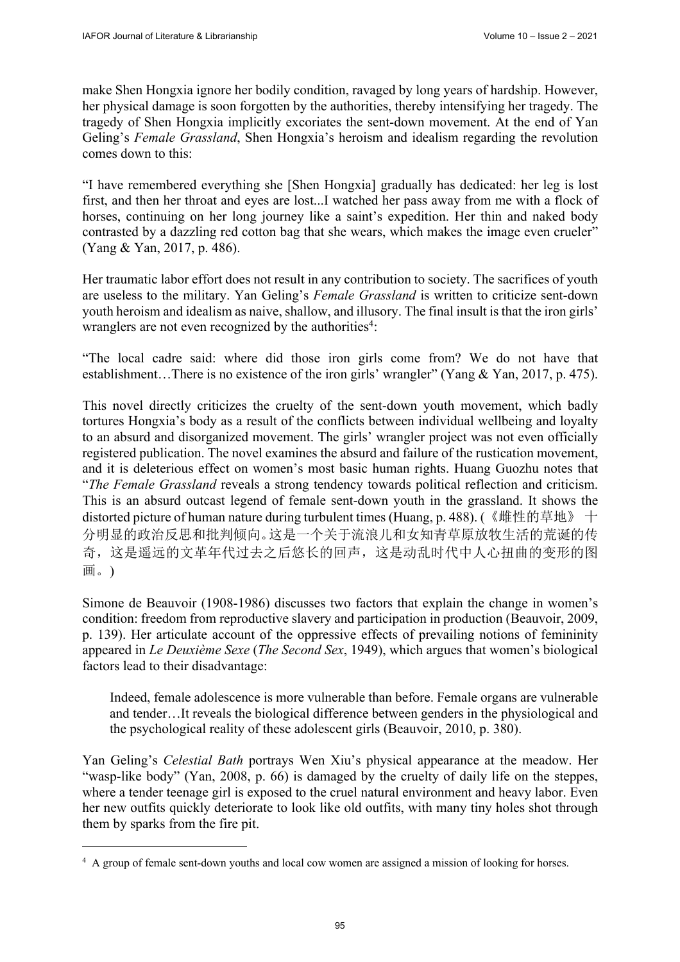make Shen Hongxia ignore her bodily condition, ravaged by long years of hardship. However, her physical damage is soon forgotten by the authorities, thereby intensifying her tragedy. The tragedy of Shen Hongxia implicitly excoriates the sent-down movement. At the end of Yan Geling's *Female Grassland*, Shen Hongxia's heroism and idealism regarding the revolution comes down to this:

"I have remembered everything she [Shen Hongxia] gradually has dedicated: her leg is lost first, and then her throat and eyes are lost...I watched her pass away from me with a flock of horses, continuing on her long journey like a saint's expedition. Her thin and naked body contrasted by a dazzling red cotton bag that she wears, which makes the image even crueler" (Yang & Yan, 2017, p. 486).

Her traumatic labor effort does not result in any contribution to society. The sacrifices of youth are useless to the military. Yan Geling's *Female Grassland* is written to criticize sent-down youth heroism and idealism as naive, shallow, and illusory. The final insult is that the iron girls' wranglers are not even recognized by the authorities<sup>4</sup>:

"The local cadre said: where did those iron girls come from? We do not have that establishment…There is no existence of the iron girls' wrangler" (Yang & Yan, 2017, p. 475).

This novel directly criticizes the cruelty of the sent-down youth movement, which badly tortures Hongxia's body as a result of the conflicts between individual wellbeing and loyalty to an absurd and disorganized movement. The girls' wrangler project was not even officially registered publication. The novel examines the absurd and failure of the rustication movement, and it is deleterious effect on women's most basic human rights. Huang Guozhu notes that "*The Female Grassland* reveals a strong tendency towards political reflection and criticism. This is an absurd outcast legend of female sent-down youth in the grassland. It shows the distorted picture of human nature during turbulent times (Huang, p. 488). (《雌性的草地》 十 分明显的政治反思和批判倾向。这是一个关于流浪儿和女知青草原放牧生活的荒诞的传 奇,这是遥远的文革年代过去之后悠长的回声,这是动乱时代中人心扭曲的变形的图 画。)

Simone de Beauvoir (1908-1986) discusses two factors that explain the change in women's condition: freedom from reproductive slavery and participation in production (Beauvoir, 2009, p. 139). Her articulate account of the oppressive effects of prevailing notions of femininity appeared in *Le Deuxième Sexe* (*The Second Sex*, 1949), which argues that women's biological factors lead to their disadvantage:

Indeed, female adolescence is more vulnerable than before. Female organs are vulnerable and tender…It reveals the biological difference between genders in the physiological and the psychological reality of these adolescent girls (Beauvoir, 2010, p. 380).

Yan Geling's *Celestial Bath* portrays Wen Xiu's physical appearance at the meadow. Her "wasp-like body" (Yan, 2008, p. 66) is damaged by the cruelty of daily life on the steppes, where a tender teenage girl is exposed to the cruel natural environment and heavy labor. Even her new outfits quickly deteriorate to look like old outfits, with many tiny holes shot through them by sparks from the fire pit.

<sup>&</sup>lt;sup>4</sup> A group of female sent-down youths and local cow women are assigned a mission of looking for horses.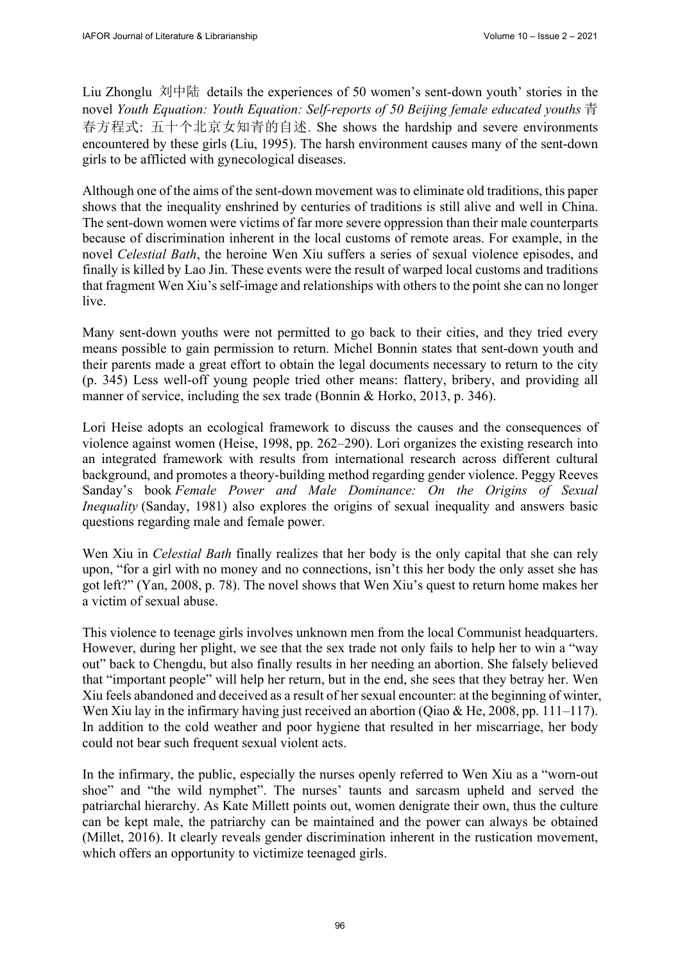Liu Zhonglu 刘中陆 details the experiences of 50 women's sent-down youth' stories in the novel *Youth Equation: Youth Equation: Self-reports of 50 Beijing female educated youths* 青 春方程式: 五十个北京女知青的自述. She shows the hardship and severe environments encountered by these girls (Liu, 1995). The harsh environment causes many of the sent-down girls to be afflicted with gynecological diseases.

Although one of the aims of the sent-down movement was to eliminate old traditions, this paper shows that the inequality enshrined by centuries of traditions is still alive and well in China. The sent-down women were victims of far more severe oppression than their male counterparts because of discrimination inherent in the local customs of remote areas. For example, in the novel *Celestial Bath*, the heroine Wen Xiu suffers a series of sexual violence episodes, and finally is killed by Lao Jin. These events were the result of warped local customs and traditions that fragment Wen Xiu's self-image and relationships with others to the point she can no longer live.

Many sent-down youths were not permitted to go back to their cities, and they tried every means possible to gain permission to return. Michel Bonnin states that sent-down youth and their parents made a great effort to obtain the legal documents necessary to return to the city (p. 345) Less well-off young people tried other means: flattery, bribery, and providing all manner of service, including the sex trade (Bonnin & Horko, 2013, p. 346).

Lori Heise adopts an ecological framework to discuss the causes and the consequences of violence against women (Heise, 1998, pp. 262–290). Lori organizes the existing research into an integrated framework with results from international research across different cultural background, and promotes a theory-building method regarding gender violence. Peggy Reeves Sanday's book *Female Power and Male Dominance: On the Origins of Sexual Inequality* (Sanday, 1981) also explores the origins of sexual inequality and answers basic questions regarding male and female power.

Wen Xiu in *Celestial Bath* finally realizes that her body is the only capital that she can rely upon, "for a girl with no money and no connections, isn't this her body the only asset she has got left?" (Yan, 2008, p. 78). The novel shows that Wen Xiu's quest to return home makes her a victim of sexual abuse.

This violence to teenage girls involves unknown men from the local Communist headquarters. However, during her plight, we see that the sex trade not only fails to help her to win a "way out" back to Chengdu, but also finally results in her needing an abortion. She falsely believed that "important people" will help her return, but in the end, she sees that they betray her. Wen Xiu feels abandoned and deceived as a result of her sexual encounter: at the beginning of winter, Wen Xiu lay in the infirmary having just received an abortion (Qiao & He, 2008, pp. 111–117). In addition to the cold weather and poor hygiene that resulted in her miscarriage, her body could not bear such frequent sexual violent acts.

In the infirmary, the public, especially the nurses openly referred to Wen Xiu as a "worn-out shoe" and "the wild nymphet". The nurses' taunts and sarcasm upheld and served the patriarchal hierarchy. As Kate Millett points out, women denigrate their own, thus the culture can be kept male, the patriarchy can be maintained and the power can always be obtained (Millet, 2016). It clearly reveals gender discrimination inherent in the rustication movement, which offers an opportunity to victimize teenaged girls.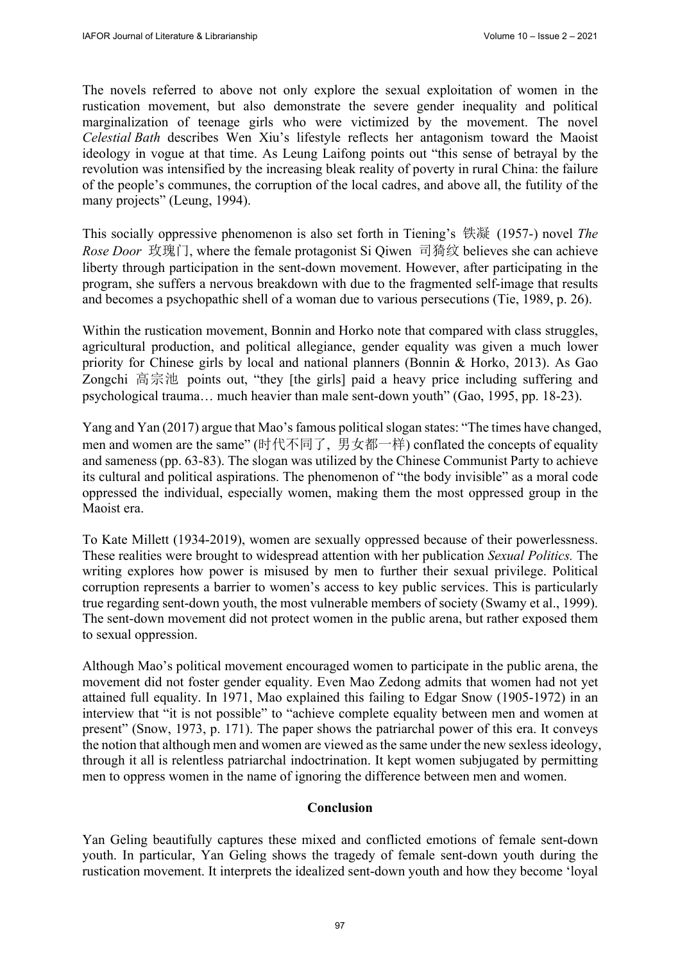The novels referred to above not only explore the sexual exploitation of women in the rustication movement, but also demonstrate the severe gender inequality and political marginalization of teenage girls who were victimized by the movement. The novel *Celestial Bath* describes Wen Xiu's lifestyle reflects her antagonism toward the Maoist ideology in vogue at that time. As Leung Laifong points out "this sense of betrayal by the revolution was intensified by the increasing bleak reality of poverty in rural China: the failure of the people's communes, the corruption of the local cadres, and above all, the futility of the many projects" (Leung, 1994).

This socially oppressive phenomenon is also set forth in Tiening's 铁凝 (1957-) novel *The Rose Door* 玫瑰门, where the female protagonist Si Qiwen 司猗纹 believes she can achieve liberty through participation in the sent-down movement. However, after participating in the program, she suffers a nervous breakdown with due to the fragmented self-image that results and becomes a psychopathic shell of a woman due to various persecutions (Tie, 1989, p. 26).

Within the rustication movement, Bonnin and Horko note that compared with class struggles, agricultural production, and political allegiance, gender equality was given a much lower priority for Chinese girls by local and national planners (Bonnin & Horko, 2013). As Gao Zongchi 高宗池 points out, "they [the girls] paid a heavy price including suffering and psychological trauma… much heavier than male sent-down youth" (Gao, 1995, pp. 18-23).

Yang and Yan (2017) argue that Mao's famous political slogan states: "The times have changed, men and women are the same" (时代不同了, 男女都一样) conflated the concepts of equality and sameness (pp. 63-83). The slogan was utilized by the Chinese Communist Party to achieve its cultural and political aspirations. The phenomenon of "the body invisible" as a moral code oppressed the individual, especially women, making them the most oppressed group in the Maoist era.

To Kate Millett (1934-2019), women are sexually oppressed because of their powerlessness. These realities were brought to widespread attention with her publication *Sexual Politics.* The writing explores how power is misused by men to further their sexual privilege. Political corruption represents a barrier to women's access to key public services. This is particularly true regarding sent-down youth, the most vulnerable members of society (Swamy et al., 1999). The sent-down movement did not protect women in the public arena, but rather exposed them to sexual oppression.

Although Mao's political movement encouraged women to participate in the public arena, the movement did not foster gender equality. Even Mao Zedong admits that women had not yet attained full equality. In 1971, Mao explained this failing to Edgar Snow (1905-1972) in an interview that "it is not possible" to "achieve complete equality between men and women at present" (Snow, 1973, p. 171). The paper shows the patriarchal power of this era. It conveys the notion that although men and women are viewed as the same under the new sexless ideology, through it all is relentless patriarchal indoctrination. It kept women subjugated by permitting men to oppress women in the name of ignoring the difference between men and women.

## **Conclusion**

Yan Geling beautifully captures these mixed and conflicted emotions of female sent-down youth. In particular, Yan Geling shows the tragedy of female sent-down youth during the rustication movement. It interprets the idealized sent-down youth and how they become 'loyal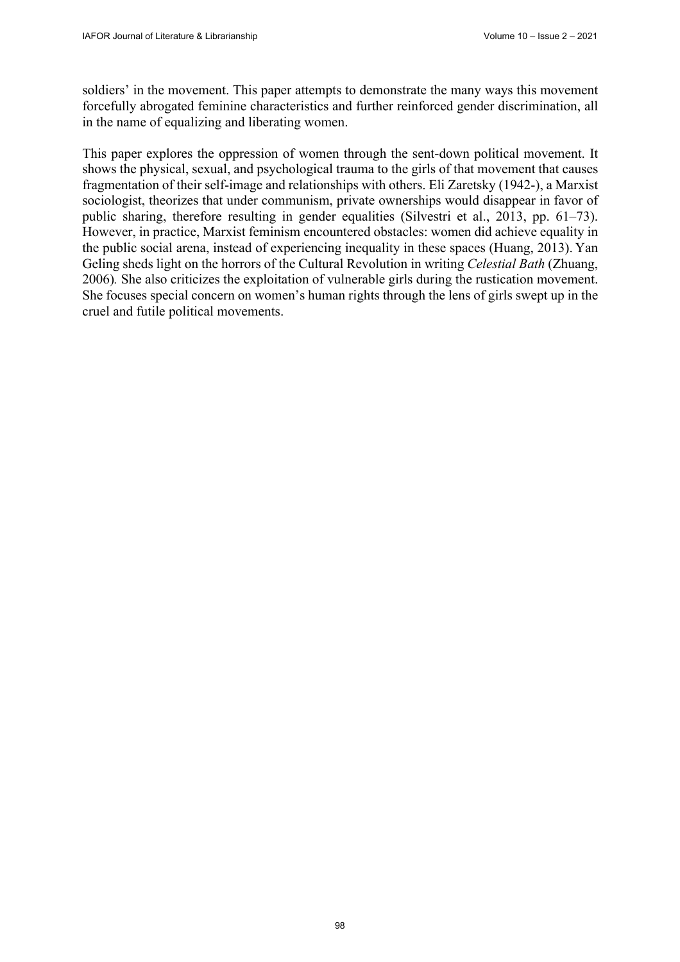soldiers' in the movement. This paper attempts to demonstrate the many ways this movement forcefully abrogated feminine characteristics and further reinforced gender discrimination, all in the name of equalizing and liberating women.

This paper explores the oppression of women through the sent-down political movement. It shows the physical, sexual, and psychological trauma to the girls of that movement that causes fragmentation of their self-image and relationships with others. Eli Zaretsky (1942-), a Marxist sociologist, theorizes that under communism, private ownerships would disappear in favor of public sharing, therefore resulting in gender equalities (Silvestri et al., 2013, pp. 61–73). However, in practice, Marxist feminism encountered obstacles: women did achieve equality in the public social arena, instead of experiencing inequality in these spaces (Huang, 2013). Yan Geling sheds light on the horrors of the Cultural Revolution in writing *Celestial Bath* (Zhuang, 2006)*.* She also criticizes the exploitation of vulnerable girls during the rustication movement. She focuses special concern on women's human rights through the lens of girls swept up in the cruel and futile political movements.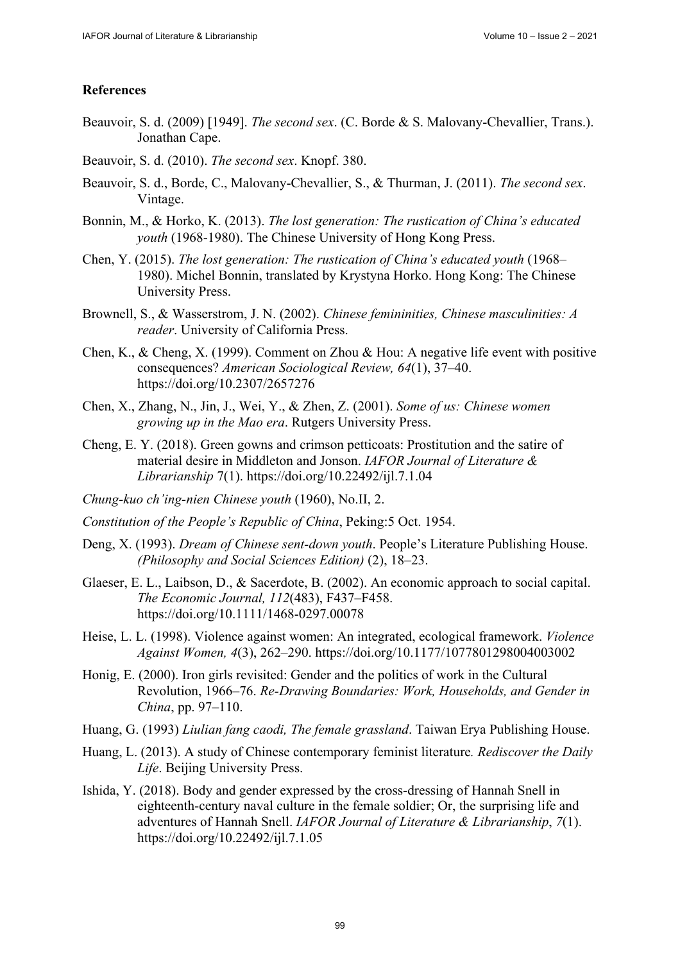### **References**

- Beauvoir, S. d. (2009) [1949]. *The second sex*. (C. Borde & S. Malovany-Chevallier, Trans.). Jonathan Cape.
- Beauvoir, S. d. (2010). *The second sex*. Knopf. 380.
- Beauvoir, S. d., Borde, C., Malovany-Chevallier, S., & Thurman, J. (2011). *The second sex*. Vintage.
- Bonnin, M., & Horko, K. (2013). *The lost generation: The rustication of China's educated youth* (1968-1980). The Chinese University of Hong Kong Press.
- Chen, Y. (2015). *The lost generation: The rustication of China's educated youth* (1968– 1980). Michel Bonnin, translated by Krystyna Horko. Hong Kong: The Chinese University Press.
- Brownell, S., & Wasserstrom, J. N. (2002). *Chinese femininities, Chinese masculinities: A reader*. University of California Press.
- Chen, K., & Cheng, X. (1999). Comment on Zhou & Hou: A negative life event with positive consequences? *American Sociological Review, 64*(1), 37–40. <https://doi.org/10.2307/2657276>
- Chen, X., Zhang, N., Jin, J., Wei, Y., & Zhen, Z. (2001). *Some of us: Chinese women growing up in the Mao era*. Rutgers University Press.
- Cheng, E. Y. (2018). Green gowns and crimson petticoats: Prostitution and the satire of material desire in Middleton and Jonson. *IAFOR Journal of Literature & Librarianship* 7(1). <https://doi.org/10.22492/ijl.7.1.04>
- *Chung-kuo ch'ing-nien Chinese youth* (1960), No.II, 2.
- *Constitution of the People's Republic of China*, Peking:5 Oct. 1954.
- Deng, X. (1993). *Dream of Chinese sent-down youth*. People's Literature Publishing House. *(Philosophy and Social Sciences Edition)* (2), 18–23.
- Glaeser, E. L., Laibson, D., & Sacerdote, B. (2002). An economic approach to social capital. *The Economic Journal, 112*(483), F437–F458. <https://doi.org/10.1111/1468-0297.00078>
- Heise, L. L. (1998). Violence against women: An integrated, ecological framework. *Violence Against Women, 4*(3), 262–290. <https://doi.org/10.1177/1077801298004003002>
- Honig, E. (2000). Iron girls revisited: Gender and the politics of work in the Cultural Revolution, 1966–76. *Re-Drawing Boundaries: Work, Households, and Gender in China*, pp. 97–110.
- Huang, G. (1993) *Liulian fang caodi, The female grassland*. Taiwan Erya Publishing House.
- Huang, L. (2013). A study of Chinese contemporary feminist literature*. Rediscover the Daily Life*. Beijing University Press.
- Ishida, Y. (2018). Body and gender expressed by the cross-dressing of Hannah Snell in eighteenth-century naval culture in the female soldier; Or, the surprising life and adventures of Hannah Snell. *IAFOR Journal of Literature & Librarianship*, *7*(1). <https://doi.org/10.22492/ijl.7.1.05>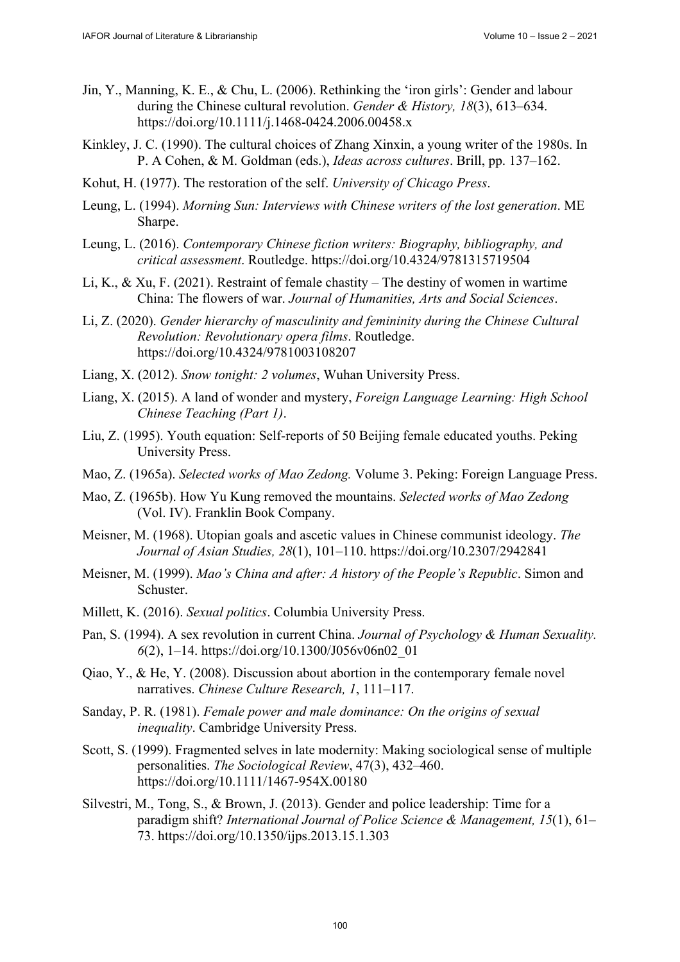- Jin, Y., Manning, K. E., & Chu, L. (2006). Rethinking the 'iron girls': Gender and labour during the Chinese cultural revolution. *Gender & History, 18*(3), 613–634. <https://doi.org/10.1111/j.1468-0424.2006.00458.x>
- Kinkley, J. C. (1990). The cultural choices of Zhang Xinxin, a young writer of the 1980s. In P. A Cohen, & M. Goldman (eds.), *Ideas across cultures*. Brill, pp. 137–162.
- Kohut, H. (1977). The restoration of the self. *University of Chicago Press*.
- Leung, L. (1994). *Morning Sun: Interviews with Chinese writers of the lost generation*. ME Sharpe.
- Leung, L. (2016). *Contemporary Chinese fiction writers: Biography, bibliography, and critical assessment*. Routledge. <https://doi.org/10.4324/9781315719504>
- Li, K., & Xu, F. (2021). Restraint of female chastity The destiny of women in wartime China: The flowers of war. *Journal of Humanities, Arts and Social Sciences*.
- Li, Z. (2020). *Gender hierarchy of masculinity and femininity during the Chinese Cultural Revolution: Revolutionary opera films*. Routledge. <https://doi.org/10.4324/9781003108207>
- Liang, X. (2012). *Snow tonight: 2 volumes*, Wuhan University Press.
- Liang, X. (2015). A land of wonder and mystery, *Foreign Language Learning: High School Chinese Teaching (Part 1)*.
- Liu, Z. (1995). Youth equation: Self-reports of 50 Beijing female educated youths. Peking University Press.
- Mao, Z. (1965a). *Selected works of Mao Zedong.* Volume 3. Peking: Foreign Language Press.
- Mao, Z. (1965b). How Yu Kung removed the mountains. *Selected works of Mao Zedong* (Vol. IV). Franklin Book Company.
- Meisner, M. (1968). Utopian goals and ascetic values in Chinese communist ideology. *The Journal of Asian Studies, 28*(1), 101–110. <https://doi.org/10.2307/2942841>
- Meisner, M. (1999). *Mao's China and after: A history of the People's Republic*. Simon and Schuster.
- Millett, K. (2016). *Sexual politics*. Columbia University Press.
- Pan, S. (1994). A sex revolution in current China. *Journal of Psychology & Human Sexuality. 6*(2), 1–14. [https://doi.org/10.1300/J056v06n02\\_01](https://doi.org/10.1300/J056v06n02_01)
- Qiao, Y., & He, Y. (2008). Discussion about abortion in the contemporary female novel narratives. *Chinese Culture Research, 1*, 111–117.
- Sanday, P. R. (1981). *Female power and male dominance: On the origins of sexual inequality*. Cambridge University Press.
- Scott, S. (1999). Fragmented selves in late modernity: Making sociological sense of multiple personalities. *The Sociological Review*, 47(3), 432–460. <https://doi.org/10.1111/1467-954X.00180>
- Silvestri, M., Tong, S., & Brown, J. (2013). Gender and police leadership: Time for a paradigm shift? *International Journal of Police Science & Management, 15*(1), 61– 73.<https://doi.org/10.1350/ijps.2013.15.1.303>